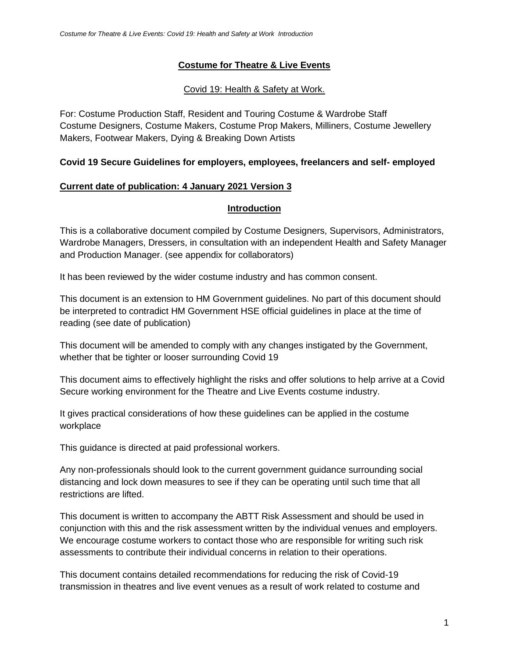### **Costume for Theatre & Live Events**

### Covid 19: Health & Safety at Work.

For: Costume Production Staff, Resident and Touring Costume & Wardrobe Staff Costume Designers, Costume Makers, Costume Prop Makers, Milliners, Costume Jewellery Makers, Footwear Makers, Dying & Breaking Down Artists

### **Covid 19 Secure Guidelines for employers, employees, freelancers and self- employed**

#### **Current date of publication: 4 January 2021 Version 3**

### **Introduction**

This is a collaborative document compiled by Costume Designers, Supervisors, Administrators, Wardrobe Managers, Dressers, in consultation with an independent Health and Safety Manager and Production Manager. (see appendix for collaborators)

It has been reviewed by the wider costume industry and has common consent.

This document is an extension to HM Government guidelines. No part of this document should be interpreted to contradict HM Government HSE official guidelines in place at the time of reading (see date of publication)

This document will be amended to comply with any changes instigated by the Government, whether that be tighter or looser surrounding Covid 19

This document aims to effectively highlight the risks and offer solutions to help arrive at a Covid Secure working environment for the Theatre and Live Events costume industry.

It gives practical considerations of how these guidelines can be applied in the costume workplace

This guidance is directed at paid professional workers.

Any non-professionals should look to the current government guidance surrounding social distancing and lock down measures to see if they can be operating until such time that all restrictions are lifted.

This document is written to accompany the ABTT Risk Assessment and should be used in conjunction with this and the risk assessment written by the individual venues and employers. We encourage costume workers to contact those who are responsible for writing such risk assessments to contribute their individual concerns in relation to their operations.

This document contains detailed recommendations for reducing the risk of Covid-19 transmission in theatres and live event venues as a result of work related to costume and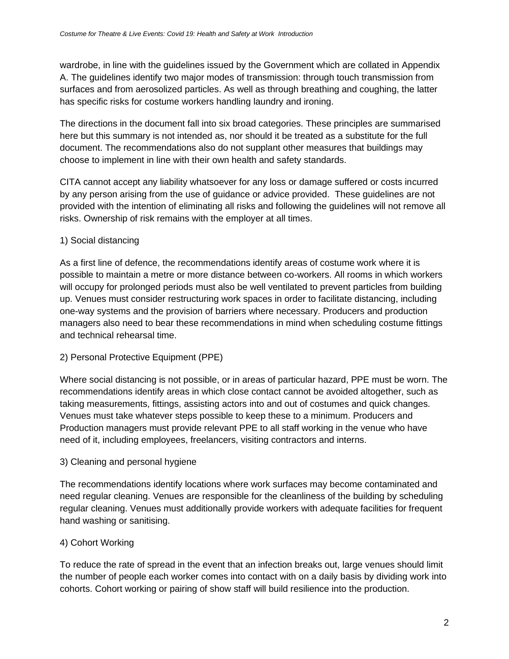wardrobe, in line with the guidelines issued by the Government which are collated in Appendix A. The guidelines identify two major modes of transmission: through touch transmission from surfaces and from aerosolized particles. As well as through breathing and coughing, the latter has specific risks for costume workers handling laundry and ironing.

The directions in the document fall into six broad categories. These principles are summarised here but this summary is not intended as, nor should it be treated as a substitute for the full document. The recommendations also do not supplant other measures that buildings may choose to implement in line with their own health and safety standards.

CITA cannot accept any liability whatsoever for any loss or damage suffered or costs incurred by any person arising from the use of guidance or advice provided. These guidelines are not provided with the intention of eliminating all risks and following the guidelines will not remove all risks. Ownership of risk remains with the employer at all times.

## 1) Social distancing

As a first line of defence, the recommendations identify areas of costume work where it is possible to maintain a metre or more distance between co-workers. All rooms in which workers will occupy for prolonged periods must also be well ventilated to prevent particles from building up. Venues must consider restructuring work spaces in order to facilitate distancing, including one-way systems and the provision of barriers where necessary. Producers and production managers also need to bear these recommendations in mind when scheduling costume fittings and technical rehearsal time.

# 2) Personal Protective Equipment (PPE)

Where social distancing is not possible, or in areas of particular hazard, PPE must be worn. The recommendations identify areas in which close contact cannot be avoided altogether, such as taking measurements, fittings, assisting actors into and out of costumes and quick changes. Venues must take whatever steps possible to keep these to a minimum. Producers and Production managers must provide relevant PPE to all staff working in the venue who have need of it, including employees, freelancers, visiting contractors and interns.

### 3) Cleaning and personal hygiene

The recommendations identify locations where work surfaces may become contaminated and need regular cleaning. Venues are responsible for the cleanliness of the building by scheduling regular cleaning. Venues must additionally provide workers with adequate facilities for frequent hand washing or sanitising.

### 4) Cohort Working

To reduce the rate of spread in the event that an infection breaks out, large venues should limit the number of people each worker comes into contact with on a daily basis by dividing work into cohorts. Cohort working or pairing of show staff will build resilience into the production.